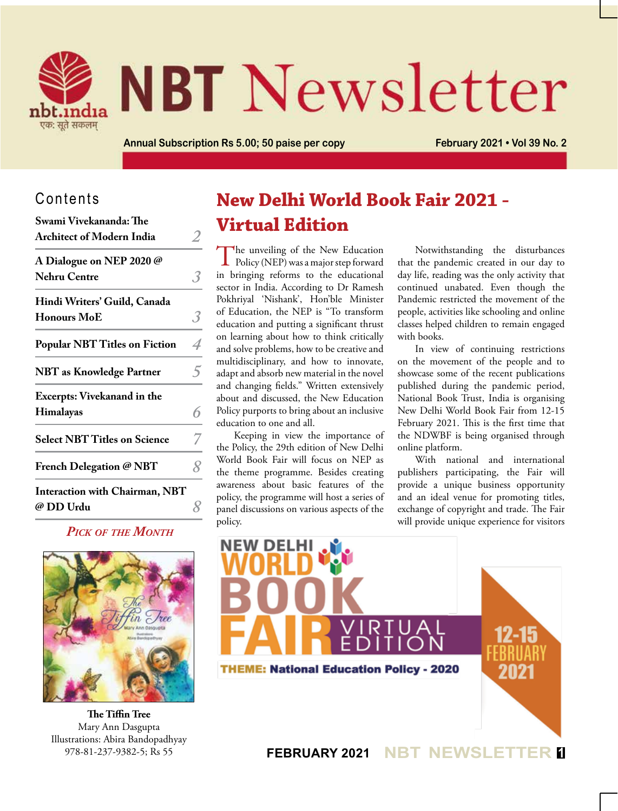

# **NBT** Newsletter

**Annual Subscription Rs 5.00; 50 paise per copy February 2021 • Vol 39 No. 2**

## Contents

| Swami Vivekananda: The<br><b>Architect of Modern India</b> |  |
|------------------------------------------------------------|--|
| A Dialogue on NEP 2020 @<br><b>Nehru Centre</b>            |  |
| Hindi Writers' Guild, Canada<br><b>Honours MoE</b>         |  |
| <b>Popular NBT Titles on Fiction</b>                       |  |
| <b>NBT</b> as Knowledge Partner                            |  |
| Excerpts: Vivekanand in the<br>Himalayas                   |  |
| <b>Select NBT Titles on Science</b>                        |  |
| French Delegation @ NBT                                    |  |
| <b>Interaction with Chairman, NBT</b><br>@ DD Urdu         |  |

## *Pick of the Month*



**The Tiffin Tree** Mary Ann Dasgupta Illustrations: Abira Bandopadhyay 978-81-237-9382-5; Rs 55

# **New Delhi World Book Fair 2021 - Virtual Edition**

The unveiling of the New Education<br>Policy (NEP) was a major step forward in bringing reforms to the educational sector in India. According to Dr Ramesh Pokhriyal 'Nishank', Hon'ble Minister of Education, the NEP is "To transform education and putting a significant thrust on learning about how to think critically and solve problems, how to be creative and multidisciplinary, and how to innovate, adapt and absorb new material in the novel and changing fields." Written extensively about and discussed, the New Education Policy purports to bring about an inclusive education to one and all.

Keeping in view the importance of the Policy, the 29th edition of New Delhi World Book Fair will focus on NEP as the theme programme. Besides creating awareness about basic features of the policy, the programme will host a series of panel discussions on various aspects of the policy.

Notwithstanding the disturbances that the pandemic created in our day to day life, reading was the only activity that continued unabated. Even though the Pandemic restricted the movement of the people, activities like schooling and online classes helped children to remain engaged with books.

In view of continuing restrictions on the movement of the people and to showcase some of the recent publications published during the pandemic period, National Book Trust, India is organising New Delhi World Book Fair from 12-15 February 2021. This is the first time that the NDWBF is being organised through online platform.

With national and international publishers participating, the Fair will provide a unique business opportunity and an ideal venue for promoting titles, exchange of copyright and trade. The Fair will provide unique experience for visitors

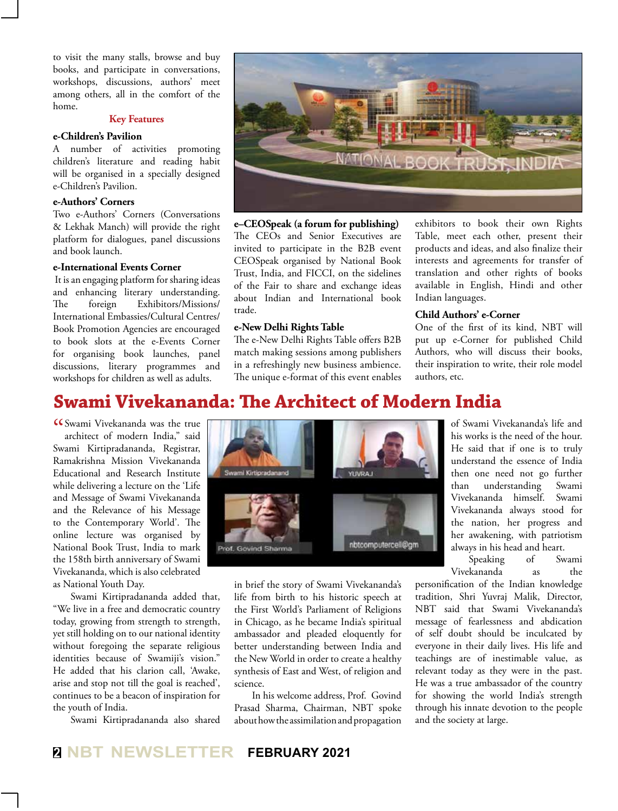to visit the many stalls, browse and buy books, and participate in conversations, workshops, discussions, authors' meet among others, all in the comfort of the home.

#### **Key Features**

## **e-Children's Pavilion**

A number of activities promoting children's literature and reading habit will be organised in a specially designed e-Children's Pavilion.

## **e-Authors' Corners**

Two e-Authors' Corners (Conversations & Lekhak Manch) will provide the right platform for dialogues, panel discussions and book launch.

## **e-International Events Corner**

 It is an engaging platform for sharing ideas and enhancing literary understanding. The foreign Exhibitors/Missions/ International Embassies/Cultural Centres/ Book Promotion Agencies are encouraged to book slots at the e-Events Corner for organising book launches, panel discussions, literary programmes and workshops for children as well as adults.



**e–CEOSpeak (a forum for publishing)**  The CEOs and Senior Executives are invited to participate in the B2B event CEOSpeak organised by National Book Trust, India, and FICCI, on the sidelines of the Fair to share and exchange ideas about Indian and International book trade.

#### **e-New Delhi Rights Table**

The e-New Delhi Rights Table offers B2B match making sessions among publishers in a refreshingly new business ambience. The unique e-format of this event enables exhibitors to book their own Rights Table, meet each other, present their products and ideas, and also finalize their interests and agreements for transfer of translation and other rights of books available in English, Hindi and other Indian languages.

#### **Child Authors' e-Corner**

One of the first of its kind, NBT will put up e-Corner for published Child Authors, who will discuss their books, their inspiration to write, their role model authors, etc.

## **Swami Vivekananda: The Architect of Modern India**

CC Swami Vivekananda was the true<br>architect of modern India," said architect of modern India," said Swami Kirtipradananda, Registrar, Ramakrishna Mission Vivekananda Educational and Research Institute while delivering a lecture on the 'Life and Message of Swami Vivekananda and the Relevance of his Message to the Contemporary World'. The online lecture was organised by National Book Trust, India to mark the 158th birth anniversary of Swami Vivekananda, which is also celebrated as National Youth Day.

Swami Kirtipradananda added that, "We live in a free and democratic country today, growing from strength to strength, yet still holding on to our national identity without foregoing the separate religious identities because of Swamiji's vision." He added that his clarion call, 'Awake, arise and stop not till the goal is reached', continues to be a beacon of inspiration for the youth of India.

Swami Kirtipradananda also shared



in brief the story of Swami Vivekananda's life from birth to his historic speech at the First World's Parliament of Religions in Chicago, as he became India's spiritual ambassador and pleaded eloquently for better understanding between India and the New World in order to create a healthy synthesis of East and West, of religion and science.

In his welcome address, Prof. Govind Prasad Sharma, Chairman, NBT spoke about how the assimilation and propagation

of Swami Vivekananda's life and his works is the need of the hour. He said that if one is to truly understand the essence of India then one need not go further than understanding Swami Vivekananda himself. Swami Vivekananda always stood for the nation, her progress and her awakening, with patriotism always in his head and heart.

Speaking of Swami Vivekananda as the

personification of the Indian knowledge tradition, Shri Yuvraj Malik, Director, NBT said that Swami Vivekananda's message of fearlessness and abdication of self doubt should be inculcated by everyone in their daily lives. His life and teachings are of inestimable value, as relevant today as they were in the past. He was a true ambassador of the country for showing the world India's strength through his innate devotion to the people and the society at large.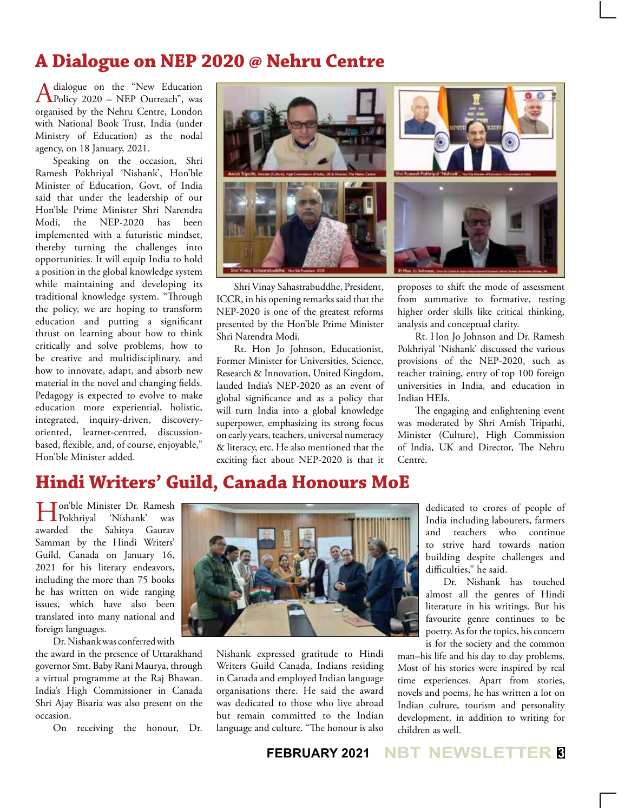## **A Dialogue on NEP 2020 @ Nehru Centre**

A dialogue on the "New Education"<br>Policy 2020 – NEP Outreach", was organised by the Nehru Centre, London with National Book Trust, India (under Ministry of Education) as the nodal agency, on 18 January, 2021.

Speaking on the occasion, Shri Ramesh Pokhriyal 'Nishank', Hon'ble Minister of Education, Govt. of India said that under the leadership of our Hon'ble Prime Minister Shri Narendra Modi, the NEP-2020 has been implemented with a futuristic mindset, thereby turning the challenges into opportunities. It will equip India to hold a position in the global knowledge system while maintaining and developing its traditional knowledge system. "Through the policy, we are hoping to transform education and putting a significant thrust on learning about how to think critically and solve problems, how to be creative and multidisciplinary, and how to innovate, adapt, and absorb new material in the novel and changing fields. Pedagogy is expected to evolve to make education more experiential, holistic, integrated, inquiry-driven, discoveryoriented, learner-centred, discussionbased, flexible, and, of course, enjoyable," Hon'ble Minister added.



Shri Vinay Sahastrabuddhe, President, ICCR, in his opening remarks said that the NEP-2020 is one of the greatest reforms presented by the Hon'ble Prime Minister Shri Narendra Modi.

Rt. Hon Jo Johnson, Educationist, Former Minister for Universities, Science, Research & Innovation, United Kingdom, lauded India's NEP-2020 as an event of global significance and as a policy that will turn India into a global knowledge superpower, emphasizing its strong focus on early years, teachers, universal numeracy & literacy, etc. He also mentioned that the exciting fact about NEP-2020 is that it proposes to shift the mode of assessment from summative to formative, testing higher order skills like critical thinking, analysis and conceptual clarity.

Rt. Hon Jo Johnson and Dr. Ramesh Pokhriyal 'Nishank' discussed the various provisions of the NEP-2020, such as teacher training, entry of top 100 foreign universities in India, and education in Indian HEIs.

The engaging and enlightening event was moderated by Shri Amish Tripathi, Minister (Culture), High Commission of India, UK and Director, The Nehru Centre.

## **Hindi Writers' Guild, Canada Honours MoE**

**Handben** Minister Dr. Ramesh<br>Pokhrival 'Nishank' was  $\Gamma$ Pokhriyal 'Nishank' awarded the Sahitya Gaurav Samman by the Hindi Writers' Guild, Canada on January 16, 2021 for his literary endeavors, including the more than 75 books he has written on wide ranging issues, which have also been translated into many national and foreign languages.

Dr. Nishank was conferred with

the award in the presence of Uttarakhand governor Smt. Baby Rani Maurya, through a virtual programme at the Raj Bhawan. India's High Commissioner in Canada Shri Ajay Bisaria was also present on the occasion.

On receiving the honour, Dr.



Nishank expressed gratitude to Hindi Writers Guild Canada, Indians residing in Canada and employed Indian language organisations there. He said the award was dedicated to those who live abroad but remain committed to the Indian language and culture. "The honour is also

dedicated to crores of people of India including labourers, farmers and teachers who continue to strive hard towards nation building despite challenges and difficulties," he said.

Dr. Nishank has touched almost all the genres of Hindi literature in his writings. But his favourite genre continues to be poetry. As for the topics, his concern is for the society and the common

man–his life and his day to day problems. Most of his stories were inspired by real time experiences. Apart from stories, novels and poems, he has written a lot on Indian culture, tourism and personality development, in addition to writing for children as well.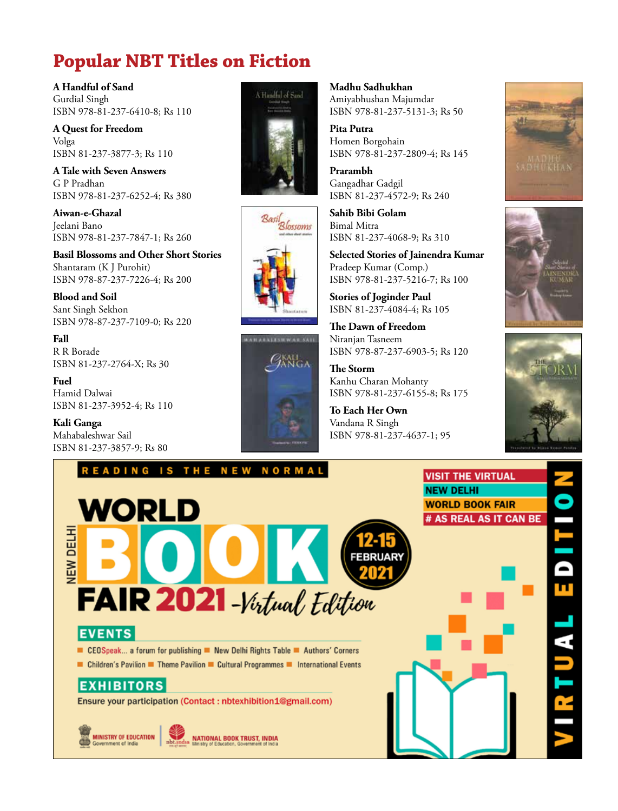# **Popular NBT Titles on Fiction**

**A Handful of Sand** Gurdial Singh ISBN 978-81-237-6410-8; Rs 110

**A Quest for Freedom** Volga ISBN 81-237-3877-3; Rs 110

**A Tale with Seven Answers** G P Pradhan ISBN 978-81-237-6252-4; Rs 380

**Aiwan-e-Ghazal** Jeelani Bano ISBN 978-81-237-7847-1; Rs 260

**Basil Blossoms and Other Short Stories** Shantaram (K J Purohit) ISBN 978-87-237-7226-4; Rs 200

**Blood and Soil** Sant Singh Sekhon ISBN 978-87-237-7109-0; Rs 220

**Fall** R R Borade ISBN 81-237-2764-X; Rs 30

**Fuel** Hamid Dalwai ISBN 81-237-3952-4; Rs 110

**Kali Ganga** Mahabaleshwar Sail ISBN 81-237-3857-9; Rs 80







## **Madhu Sadhukhan** Amiyabhushan Majumdar ISBN 978-81-237-5131-3; Rs 50

**Pita Putra** Homen Borgohain ISBN 978-81-237-2809-4; Rs 145

**Prarambh** Gangadhar Gadgil ISBN 81-237-4572-9; Rs 240

**Sahib Bibi Golam** Bimal Mitra ISBN 81-237-4068-9; Rs 310

**Selected Stories of Jainendra Kumar** Pradeep Kumar (Comp.) ISBN 978-81-237-5216-7; Rs 100

**Stories of Joginder Paul** ISBN 81-237-4084-4; Rs 105

**The Dawn of Freedom** Niranjan Tasneem ISBN 978-87-237-6903-5; Rs 120

**The Storm** Kanhu Charan Mohanty ISBN 978-81-237-6155-8; Rs 175

**To Each Her Own** Vandana R Singh ISBN 978-81-237-4637-1; 95







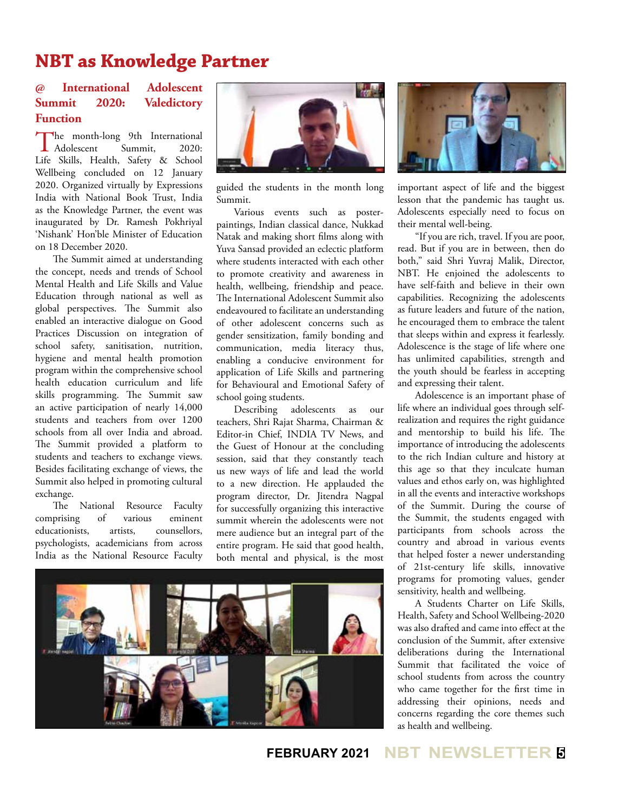# **NBT as Knowledge Partner**

## **@ International Adolescent Summit 2020: Valedictory Function**

The month-long 9th International<br>Adolescent Summit, 2020:  $\blacksquare$  Adolescent Life Skills, Health, Safety & School Wellbeing concluded on 12 January 2020. Organized virtually by Expressions India with National Book Trust, India as the Knowledge Partner, the event was inaugurated by Dr. Ramesh Pokhriyal 'Nishank' Hon'ble Minister of Education on 18 December 2020.

The Summit aimed at understanding the concept, needs and trends of School Mental Health and Life Skills and Value Education through national as well as global perspectives. The Summit also enabled an interactive dialogue on Good Practices Discussion on integration of school safety, sanitisation, nutrition, hygiene and mental health promotion program within the comprehensive school health education curriculum and life skills programming. The Summit saw an active participation of nearly 14,000 students and teachers from over 1200 schools from all over India and abroad. The Summit provided a platform to students and teachers to exchange views. Besides facilitating exchange of views, the Summit also helped in promoting cultural exchange.

The National Resource Faculty comprising of various eminent educationists, artists, counsellors, psychologists, academicians from across India as the National Resource Faculty



guided the students in the month long Summit.

Various events such as posterpaintings, Indian classical dance, Nukkad Natak and making short films along with Yuva Sansad provided an eclectic platform where students interacted with each other to promote creativity and awareness in health, wellbeing, friendship and peace. The International Adolescent Summit also endeavoured to facilitate an understanding of other adolescent concerns such as gender sensitization, family bonding and communication, media literacy thus, enabling a conducive environment for application of Life Skills and partnering for Behavioural and Emotional Safety of school going students.

Describing adolescents as our teachers, Shri Rajat Sharma, Chairman & Editor-in Chief, INDIA TV News, and the Guest of Honour at the concluding session, said that they constantly teach us new ways of life and lead the world to a new direction. He applauded the program director, Dr. Jitendra Nagpal for successfully organizing this interactive summit wherein the adolescents were not mere audience but an integral part of the entire program. He said that good health, both mental and physical, is the most



![](_page_4_Picture_10.jpeg)

important aspect of life and the biggest lesson that the pandemic has taught us. Adolescents especially need to focus on their mental well-being.

"If you are rich, travel. If you are poor, read. But if you are in between, then do both," said Shri Yuvraj Malik, Director, NBT. He enjoined the adolescents to have self-faith and believe in their own capabilities. Recognizing the adolescents as future leaders and future of the nation, he encouraged them to embrace the talent that sleeps within and express it fearlessly. Adolescence is the stage of life where one has unlimited capabilities, strength and the youth should be fearless in accepting and expressing their talent.

Adolescence is an important phase of life where an individual goes through selfrealization and requires the right guidance and mentorship to build his life. The importance of introducing the adolescents to the rich Indian culture and history at this age so that they inculcate human values and ethos early on, was highlighted in all the events and interactive workshops of the Summit. During the course of the Summit, the students engaged with participants from schools across the country and abroad in various events that helped foster a newer understanding of 21st-century life skills, innovative programs for promoting values, gender sensitivity, health and wellbeing.

A Students Charter on Life Skills, Health, Safety and School Wellbeing-2020 was also drafted and came into effect at the conclusion of the Summit, after extensive deliberations during the International Summit that facilitated the voice of school students from across the country who came together for the first time in addressing their opinions, needs and concerns regarding the core themes such as health and wellbeing.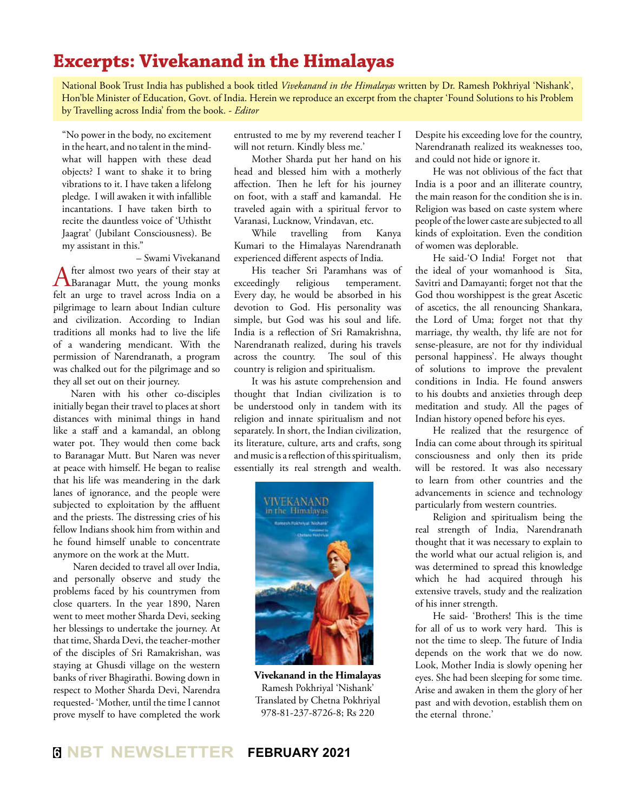## **Excerpts: Vivekanand in the Himalayas**

National Book Trust India has published a book titled *Vivekanand in the Himalayas* written by Dr. Ramesh Pokhriyal 'Nishank', Hon'ble Minister of Education, Govt. of India. Herein we reproduce an excerpt from the chapter 'Found Solutions to his Problem by Travelling across India' from the book. - *Editor*

"No power in the body, no excitement in the heart, and no talent in the mindwhat will happen with these dead objects? I want to shake it to bring vibrations to it. I have taken a lifelong pledge. I will awaken it with infallible incantations. I have taken birth to recite the dauntless voice of 'Uthistht Jaagrat' (Jubilant Consciousness). Be my assistant in this."

– Swami Vivekanand<br>fter almost two years of their stay at After almost two years of their stay at Baranagar Mutt, the young monks felt an urge to travel across India on a pilgrimage to learn about Indian culture and civilization. According to Indian traditions all monks had to live the life of a wandering mendicant. With the permission of Narendranath, a program was chalked out for the pilgrimage and so they all set out on their journey.

Naren with his other co-disciples initially began their travel to places at short distances with minimal things in hand like a staff and a kamandal, an oblong water pot. They would then come back to Baranagar Mutt. But Naren was never at peace with himself. He began to realise that his life was meandering in the dark lanes of ignorance, and the people were subjected to exploitation by the affluent and the priests. The distressing cries of his fellow Indians shook him from within and he found himself unable to concentrate anymore on the work at the Mutt.

 Naren decided to travel all over India, and personally observe and study the problems faced by his countrymen from close quarters. In the year 1890, Naren went to meet mother Sharda Devi, seeking her blessings to undertake the journey. At that time, Sharda Devi, the teacher-mother of the disciples of Sri Ramakrishan, was staying at Ghusdi village on the western banks of river Bhagirathi. Bowing down in respect to Mother Sharda Devi, Narendra requested- 'Mother, until the time I cannot prove myself to have completed the work

entrusted to me by my reverend teacher I will not return. Kindly bless me.'

Mother Sharda put her hand on his head and blessed him with a motherly affection. Then he left for his journey on foot, with a staff and kamandal. He traveled again with a spiritual fervor to Varanasi, Lucknow, Vrindavan, etc.

While travelling from Kanya Kumari to the Himalayas Narendranath experienced different aspects of India.

His teacher Sri Paramhans was of exceedingly religious temperament. Every day, he would be absorbed in his devotion to God. His personality was simple, but God was his soul and life. India is a reflection of Sri Ramakrishna, Narendranath realized, during his travels across the country. The soul of this country is religion and spiritualism.

It was his astute comprehension and thought that Indian civilization is to be understood only in tandem with its religion and innate spiritualism and not separately. In short, the Indian civilization, its literature, culture, arts and crafts, song and music is a reflection of this spiritualism, essentially its real strength and wealth.

![](_page_5_Picture_11.jpeg)

**Vivekanand in the Himalayas** Ramesh Pokhriyal 'Nishank' Translated by Chetna Pokhriyal 978-81-237-8726-8; Rs 220

Despite his exceeding love for the country, Narendranath realized its weaknesses too, and could not hide or ignore it.

He was not oblivious of the fact that India is a poor and an illiterate country, the main reason for the condition she is in. Religion was based on caste system where people of the lower caste are subjected to all kinds of exploitation. Even the condition of women was deplorable.

He said-'O India! Forget not that the ideal of your womanhood is Sita, Savitri and Damayanti; forget not that the God thou worshippest is the great Ascetic of ascetics, the all renouncing Shankara, the Lord of Uma; forget not that thy marriage, thy wealth, thy life are not for sense-pleasure, are not for thy individual personal happiness'. He always thought of solutions to improve the prevalent conditions in India. He found answers to his doubts and anxieties through deep meditation and study. All the pages of Indian history opened before his eyes.

He realized that the resurgence of India can come about through its spiritual consciousness and only then its pride will be restored. It was also necessary to learn from other countries and the advancements in science and technology particularly from western countries.

Religion and spiritualism being the real strength of India, Narendranath thought that it was necessary to explain to the world what our actual religion is, and was determined to spread this knowledge which he had acquired through his extensive travels, study and the realization of his inner strength.

He said- 'Brothers! This is the time for all of us to work very hard. This is not the time to sleep. The future of India depends on the work that we do now. Look, Mother India is slowly opening her eyes. She had been sleeping for some time. Arise and awaken in them the glory of her past and with devotion, establish them on the eternal throne.'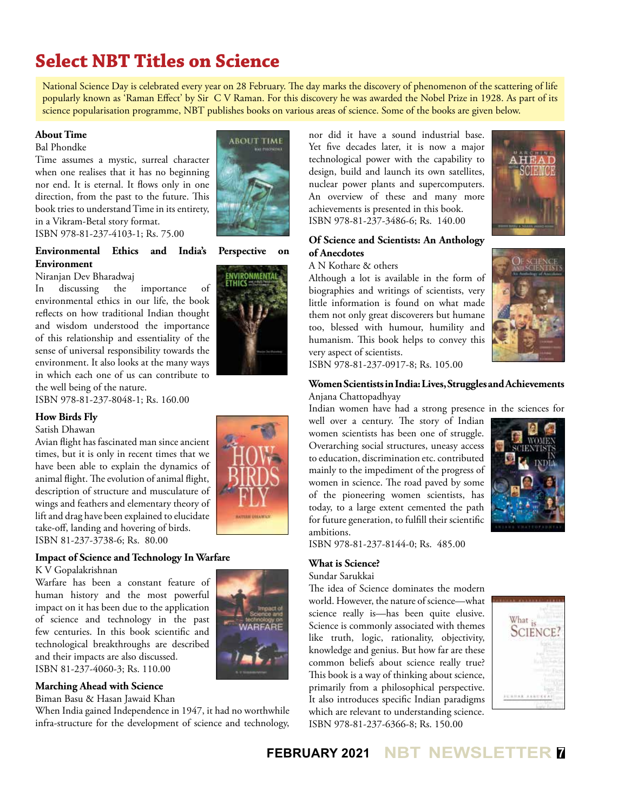# **Select NBT Titles on Science**

National Science Day is celebrated every year on 28 February. The day marks the discovery of phenomenon of the scattering of life popularly known as 'Raman Effect' by Sir C V Raman. For this discovery he was awarded the Nobel Prize in 1928. As part of its science popularisation programme, NBT publishes books on various areas of science. Some of the books are given below.

## **About Time**

Bal Phondke

Time assumes a mystic, surreal character when one realises that it has no beginning nor end. It is eternal. It flows only in one direction, from the past to the future. This book tries to understand Time in its entirety, in a Vikram-Betal story format. ISBN 978-81-237-4103-1; Rs. 75.00

**Environmental Ethics and India's Perspective on Environment**

Niranjan Dev Bharadwaj

In discussing the importance of environmental ethics in our life, the book reflects on how traditional Indian thought and wisdom understood the importance of this relationship and essentiality of the sense of universal responsibility towards the environment. It also looks at the many ways in which each one of us can contribute to the well being of the nature.

ISBN 978-81-237-8048-1; Rs. 160.00

#### **How Birds Fly**

Satish Dhawan

Avian flight has fascinated man since ancient times, but it is only in recent times that we have been able to explain the dynamics of animal flight. The evolution of animal flight, description of structure and musculature of wings and feathers and elementary theory of lift and drag have been explained to elucidate take-off, landing and hovering of birds. ISBN 81-237-3738-6; Rs. 80.00

## **Impact of Science and Technology In Warfare**

K V Gopalakrishnan

Warfare has been a constant feature of human history and the most powerful impact on it has been due to the application of science and technology in the past few centuries. In this book scientific and technological breakthroughs are described and their impacts are also discussed. ISBN 81-237-4060-3; Rs. 110.00

#### **Marching Ahead with Science**

Biman Basu & Hasan Jawaid Khan

When India gained Independence in 1947, it had no worthwhile infra-structure for the development of science and technology,

![](_page_6_Picture_18.jpeg)

![](_page_6_Picture_20.jpeg)

![](_page_6_Picture_21.jpeg)

nor did it have a sound industrial base. Yet five decades later, it is now a major technological power with the capability to design, build and launch its own satellites, nuclear power plants and supercomputers. An overview of these and many more achievements is presented in this book. ISBN 978-81-237-3486-6; Rs. 140.00

![](_page_6_Picture_23.jpeg)

#### A N Kothare & others

Although a lot is available in the form of biographies and writings of scientists, very little information is found on what made them not only great discoverers but humane too, blessed with humour, humility and humanism. This book helps to convey this very aspect of scientists.

![](_page_6_Picture_26.jpeg)

![](_page_6_Picture_27.jpeg)

ISBN 978-81-237-0917-8; Rs. 105.00

## **Women Scientists in India: Lives, Struggles and Achievements** Anjana Chattopadhyay

Indian women have had a strong presence in the sciences for well over a century. The story of Indian women scientists has been one of struggle. Overarching social structures, uneasy access to education, discrimination etc. contributed mainly to the impediment of the progress of women in science. The road paved by some of the pioneering women scientists, has today, to a large extent cemented the path for future generation, to fulfill their scientific ambitions.

![](_page_6_Picture_31.jpeg)

ISBN 978-81-237-8144-0; Rs. 485.00

## **What is Science?**

Sundar Sarukkai

The idea of Science dominates the modern world. However, the nature of science—what science really is—has been quite elusive. Science is commonly associated with themes like truth, logic, rationality, objectivity, knowledge and genius. But how far are these common beliefs about science really true? This book is a way of thinking about science, primarily from a philosophical perspective. It also introduces specific Indian paradigms which are relevant to understanding science. ISBN 978-81-237-6366-8; Rs. 150.00

![](_page_6_Picture_36.jpeg)

**FEBRUARY 2021 NBT NEWSLETTER <sup>7</sup>**